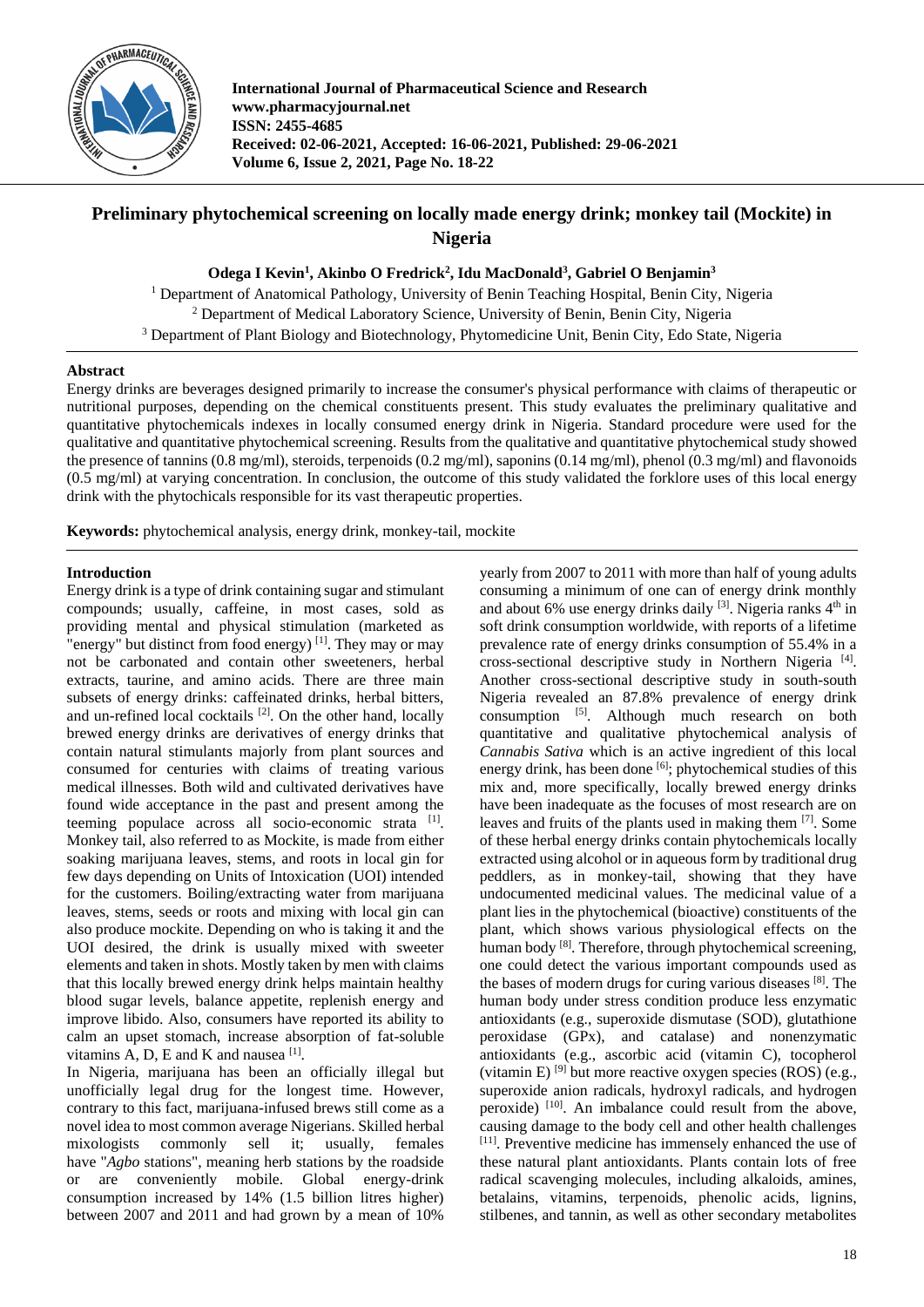

**International Journal of Pharmaceutical Science and Research www.pharmacyjournal.net ISSN: 2455-4685 Received: 02-06-2021, Accepted: 16-06-2021, Published: 29-06-2021 Volume 6, Issue 2, 2021, Page No. 18-22**

# **Preliminary phytochemical screening on locally made energy drink; monkey tail (Mockite) in Nigeria**

**Odega I Kevin<sup>1</sup> , Akinbo O Fredrick<sup>2</sup> , Idu MacDonald<sup>3</sup> , Gabriel O Benjamin<sup>3</sup>**

<sup>1</sup> Department of Anatomical Pathology, University of Benin Teaching Hospital, Benin City, Nigeria <sup>2</sup> Department of Medical Laboratory Science, University of Benin, Benin City, Nigeria <sup>3</sup> Department of Plant Biology and Biotechnology, Phytomedicine Unit, Benin City, Edo State, Nigeria

# **Abstract**

Energy drinks are beverages designed primarily to increase the consumer's physical performance with claims of therapeutic or nutritional purposes, depending on the chemical constituents present. This study evaluates the preliminary qualitative and quantitative phytochemicals indexes in locally consumed energy drink in Nigeria. Standard procedure were used for the qualitative and quantitative phytochemical screening. Results from the qualitative and quantitative phytochemical study showed the presence of tannins (0.8 mg/ml), steroids, terpenoids (0.2 mg/ml), saponins (0.14 mg/ml), phenol (0.3 mg/ml) and flavonoids (0.5 mg/ml) at varying concentration. In conclusion, the outcome of this study validated the forklore uses of this local energy drink with the phytochicals responsible for its vast therapeutic properties.

**Keywords:** phytochemical analysis, energy drink, monkey-tail, mockite

# **Introduction**

Energy drink is a type of drink containing sugar and stimulant compounds; usually, caffeine, in most cases, sold as providing mental and physical stimulation (marketed as "energy" but distinct from food energy) $[1]$ . They may or may not be carbonated and contain other sweeteners, herbal extracts, taurine, and amino acids. There are three main subsets of energy drinks: caffeinated drinks, herbal bitters, and un-refined local cocktails [2]. On the other hand, locally brewed energy drinks are derivatives of energy drinks that contain natural stimulants majorly from plant sources and consumed for centuries with claims of treating various medical illnesses. Both wild and cultivated derivatives have found wide acceptance in the past and present among the teeming populace across all socio-economic strata [1]. Monkey tail, also referred to as Mockite, is made from either soaking marijuana leaves, stems, and roots in local gin for few days depending on Units of Intoxication (UOI) intended for the customers. Boiling/extracting water from marijuana leaves, stems, seeds or roots and mixing with local gin can also produce mockite. Depending on who is taking it and the UOI desired, the drink is usually mixed with sweeter elements and taken in shots. Mostly taken by men with claims that this locally brewed energy drink helps maintain healthy blood sugar levels, balance appetite, replenish energy and improve libido. Also, consumers have reported its ability to calm an upset stomach, increase absorption of fat-soluble vitamins A, D, E and K and nausea  $[1]$ .

In Nigeria, marijuana has been an officially illegal but unofficially legal drug for the longest time. However, contrary to this fact, marijuana-infused brews still come as a novel idea to most common average Nigerians. Skilled herbal mixologists commonly sell it; usually, females have "*Agbo* stations", meaning herb stations by the roadside or are conveniently mobile. Global energy-drink consumption increased by 14% (1.5 billion litres higher) between 2007 and 2011 and had grown by a mean of 10%

yearly from 2007 to 2011 with more than half of young adults consuming a minimum of one can of energy drink monthly and about 6% use energy drinks daily  $[3]$ . Nigeria ranks  $4<sup>th</sup>$  in soft drink consumption worldwide, with reports of a lifetime prevalence rate of energy drinks consumption of 55.4% in a cross-sectional descriptive study in Northern Nigeria<sup>[4]</sup>. Another cross-sectional descriptive study in south-south Nigeria revealed an 87.8% prevalence of energy drink consumption [5]. Although much research on both quantitative and qualitative phytochemical analysis of *Cannabis Sativa* which is an active ingredient of this local energy drink, has been done [6]; phytochemical studies of this mix and, more specifically, locally brewed energy drinks have been inadequate as the focuses of most research are on leaves and fruits of the plants used in making them [7]. Some of these herbal energy drinks contain phytochemicals locally extracted using alcohol or in aqueous form by traditional drug peddlers, as in monkey-tail, showing that they have undocumented medicinal values. The medicinal value of a plant lies in the phytochemical (bioactive) constituents of the plant, which shows various physiological effects on the human body <sup>[8]</sup>. Therefore, through phytochemical screening, one could detect the various important compounds used as the bases of modern drugs for curing various diseases [8]. The human body under stress condition produce less enzymatic antioxidants (e.g., superoxide dismutase (SOD), glutathione peroxidase (GPx), and catalase) and nonenzymatic antioxidants (e.g., ascorbic acid (vitamin C), tocopherol (vitamin E)  $[9]$  but more reactive oxygen species (ROS) (e.g., superoxide anion radicals, hydroxyl radicals, and hydrogen peroxide) [10]. An imbalance could result from the above, causing damage to the body cell and other health challenges [11]. Preventive medicine has immensely enhanced the use of these natural plant antioxidants. Plants contain lots of free radical scavenging molecules, including alkaloids, amines, betalains, vitamins, terpenoids, phenolic acids, lignins, stilbenes, and tannin, as well as other secondary metabolites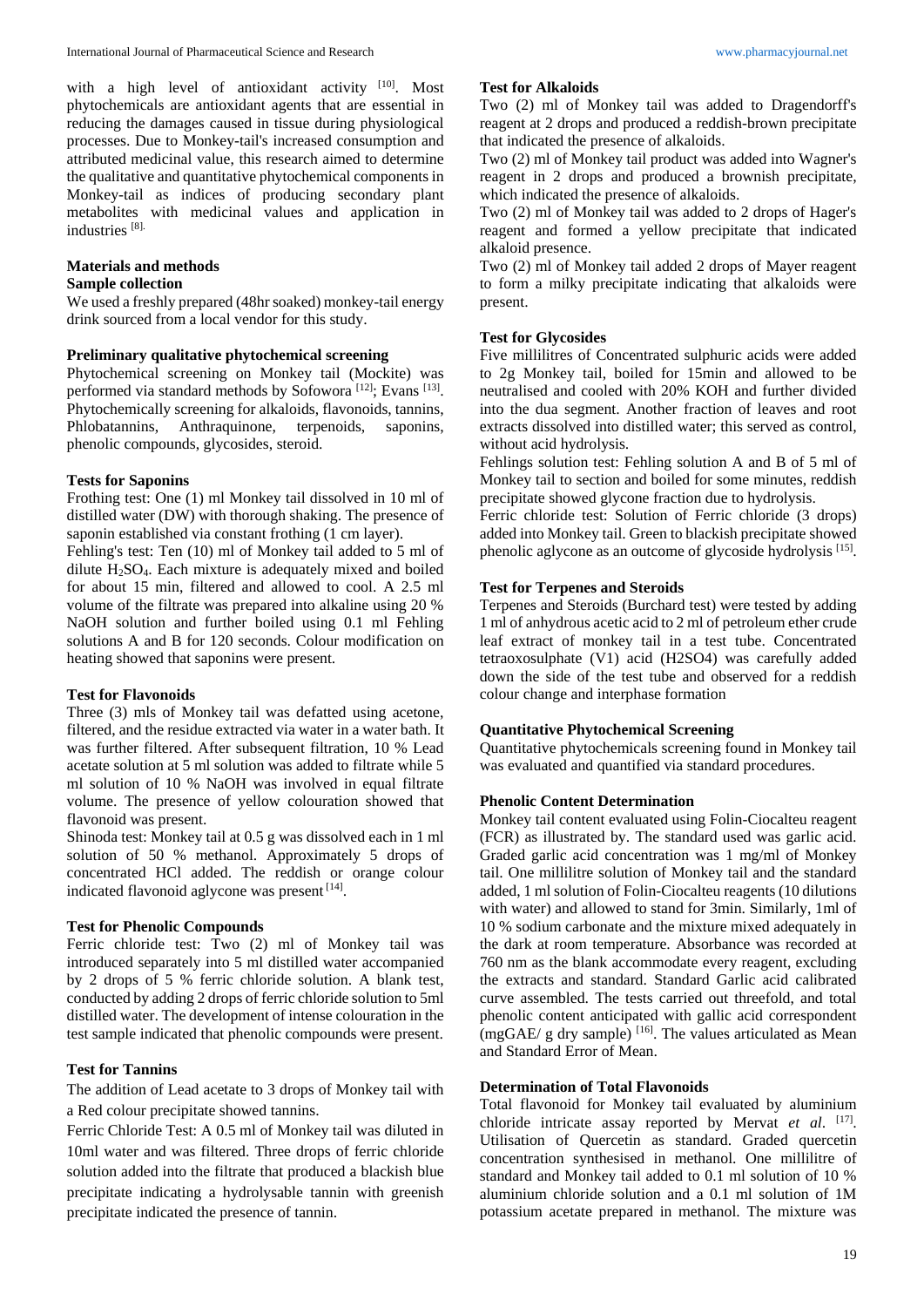with a high level of antioxidant activity [10]. Most phytochemicals are antioxidant agents that are essential in reducing the damages caused in tissue during physiological processes. Due to Monkey-tail's increased consumption and attributed medicinal value, this research aimed to determine the qualitative and quantitative phytochemical components in Monkey-tail as indices of producing secondary plant metabolites with medicinal values and application in industries [8].

# **Materials and methods**

# **Sample collection**

We used a freshly prepared (48hr soaked) monkey-tail energy drink sourced from a local vendor for this study.

# **Preliminary qualitative phytochemical screening**

Phytochemical screening on Monkey tail (Mockite) was performed via standard methods by Sofowora<sup>[12]</sup>; Evans<sup>[13]</sup>. Phytochemically screening for alkaloids, flavonoids, tannins, Phlobatannins, Anthraquinone, terpenoids, saponins, phenolic compounds, glycosides, steroid.

# **Tests for Saponins**

Frothing test: One (1) ml Monkey tail dissolved in 10 ml of distilled water (DW) with thorough shaking. The presence of saponin established via constant frothing (1 cm layer).

Fehling's test: Ten (10) ml of Monkey tail added to 5 ml of dilute H2SO4. Each mixture is adequately mixed and boiled for about 15 min, filtered and allowed to cool. A 2.5 ml volume of the filtrate was prepared into alkaline using 20 % NaOH solution and further boiled using 0.1 ml Fehling solutions A and B for 120 seconds. Colour modification on heating showed that saponins were present.

# **Test for Flavonoids**

Three (3) mls of Monkey tail was defatted using acetone, filtered, and the residue extracted via water in a water bath. It was further filtered. After subsequent filtration, 10 % Lead acetate solution at 5 ml solution was added to filtrate while 5 ml solution of 10 % NaOH was involved in equal filtrate volume. The presence of yellow colouration showed that flavonoid was present.

Shinoda test: Monkey tail at 0.5 g was dissolved each in 1 ml solution of 50 % methanol. Approximately 5 drops of concentrated HCl added. The reddish or orange colour indicated flavonoid aglycone was present [14].

# **Test for Phenolic Compounds**

Ferric chloride test: Two (2) ml of Monkey tail was introduced separately into 5 ml distilled water accompanied by 2 drops of 5 % ferric chloride solution. A blank test, conducted by adding 2 drops of ferric chloride solution to 5ml distilled water. The development of intense colouration in the test sample indicated that phenolic compounds were present.

# **Test for Tannins**

The addition of Lead acetate to 3 drops of Monkey tail with a Red colour precipitate showed tannins.

Ferric Chloride Test: A 0.5 ml of Monkey tail was diluted in 10ml water and was filtered. Three drops of ferric chloride solution added into the filtrate that produced a blackish blue precipitate indicating a hydrolysable tannin with greenish precipitate indicated the presence of tannin.

# **Test for Alkaloids**

Two (2) ml of Monkey tail was added to Dragendorff's reagent at 2 drops and produced a reddish-brown precipitate that indicated the presence of alkaloids.

Two (2) ml of Monkey tail product was added into Wagner's reagent in 2 drops and produced a brownish precipitate, which indicated the presence of alkaloids.

Two (2) ml of Monkey tail was added to 2 drops of Hager's reagent and formed a yellow precipitate that indicated alkaloid presence.

Two (2) ml of Monkey tail added 2 drops of Mayer reagent to form a milky precipitate indicating that alkaloids were present.

# **Test for Glycosides**

Five millilitres of Concentrated sulphuric acids were added to 2g Monkey tail, boiled for 15min and allowed to be neutralised and cooled with 20% KOH and further divided into the dua segment. Another fraction of leaves and root extracts dissolved into distilled water; this served as control, without acid hydrolysis.

Fehlings solution test: Fehling solution A and B of 5 ml of Monkey tail to section and boiled for some minutes, reddish precipitate showed glycone fraction due to hydrolysis.

Ferric chloride test: Solution of Ferric chloride (3 drops) added into Monkey tail. Green to blackish precipitate showed phenolic aglycone as an outcome of glycoside hydrolysis [15].

# **Test for Terpenes and Steroids**

Terpenes and Steroids (Burchard test) were tested by adding 1 ml of anhydrous acetic acid to 2 ml of petroleum ether crude leaf extract of monkey tail in a test tube. Concentrated tetraoxosulphate (V1) acid (H2SO4) was carefully added down the side of the test tube and observed for a reddish colour change and interphase formation

# **Quantitative Phytochemical Screening**

Quantitative phytochemicals screening found in Monkey tail was evaluated and quantified via standard procedures.

# **Phenolic Content Determination**

Monkey tail content evaluated using Folin-Ciocalteu reagent (FCR) as illustrated by. The standard used was garlic acid. Graded garlic acid concentration was 1 mg/ml of Monkey tail. One millilitre solution of Monkey tail and the standard added, 1 ml solution of Folin-Ciocalteu reagents (10 dilutions with water) and allowed to stand for 3min. Similarly, 1ml of 10 % sodium carbonate and the mixture mixed adequately in the dark at room temperature. Absorbance was recorded at 760 nm as the blank accommodate every reagent, excluding the extracts and standard. Standard Garlic acid calibrated curve assembled. The tests carried out threefold, and total phenolic content anticipated with gallic acid correspondent  $(mgGAE/g$  dry sample) <sup>[16]</sup>. The values articulated as Mean and Standard Error of Mean.

# **Determination of Total Flavonoids**

Total flavonoid for Monkey tail evaluated by aluminium chloride intricate assay reported by Mervat et al. [17]. Utilisation of Quercetin as standard. Graded quercetin concentration synthesised in methanol. One millilitre of standard and Monkey tail added to 0.1 ml solution of 10 % aluminium chloride solution and a 0.1 ml solution of 1M potassium acetate prepared in methanol. The mixture was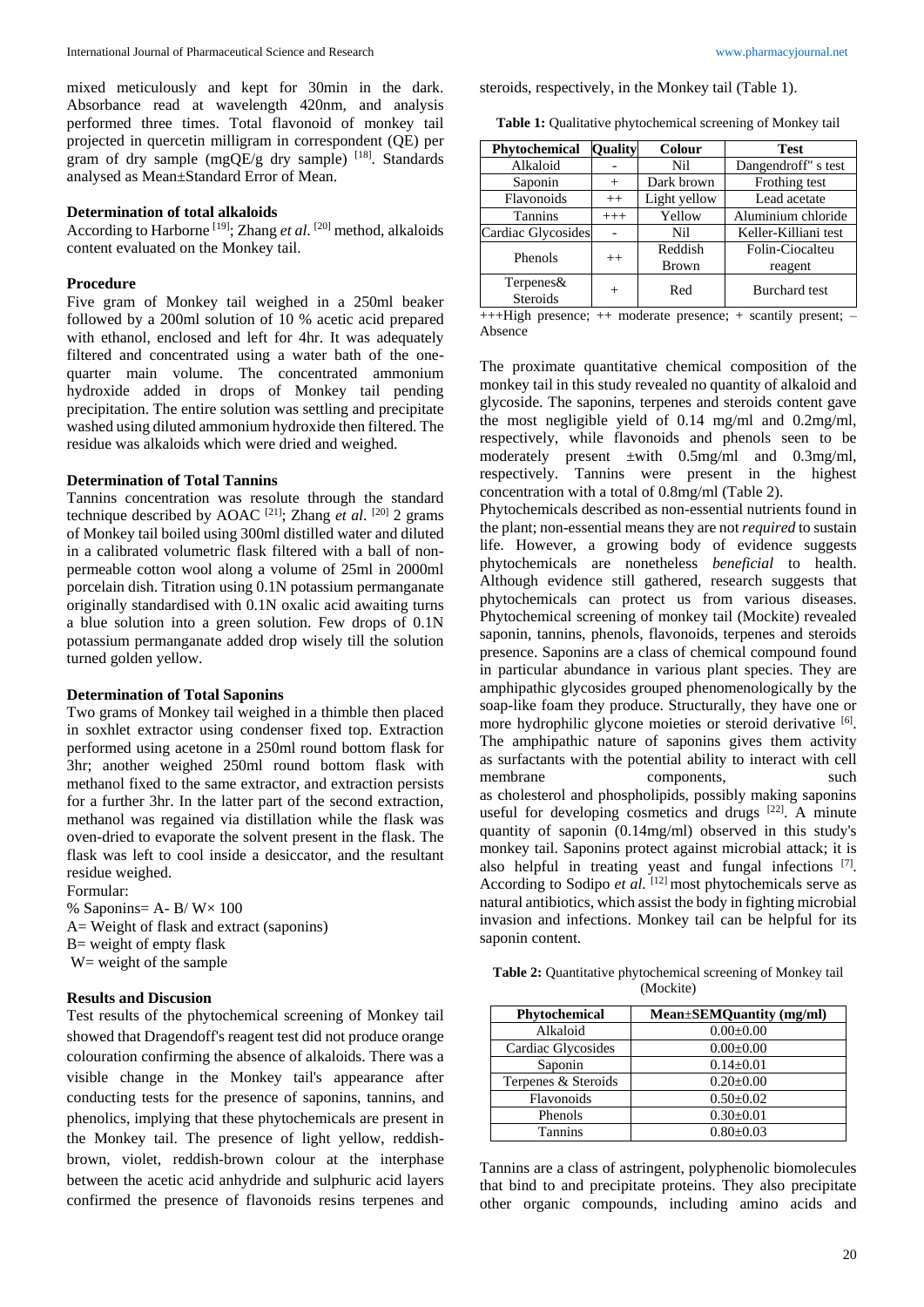mixed meticulously and kept for 30min in the dark. Absorbance read at wavelength 420nm, and analysis performed three times. Total flavonoid of monkey tail projected in quercetin milligram in correspondent (QE) per gram of dry sample (mgQE/g dry sample)  $[18]$ . Standards analysed as Mean±Standard Error of Mean.

# **Determination of total alkaloids**

According to Harborne [19]; Zhang *et al*. [20] method, alkaloids content evaluated on the Monkey tail.

#### **Procedure**

Five gram of Monkey tail weighed in a 250ml beaker followed by a 200ml solution of 10 % acetic acid prepared with ethanol, enclosed and left for 4hr. It was adequately filtered and concentrated using a water bath of the onequarter main volume. The concentrated ammonium hydroxide added in drops of Monkey tail pending precipitation. The entire solution was settling and precipitate washed using diluted ammonium hydroxide then filtered. The residue was alkaloids which were dried and weighed.

#### **Determination of Total Tannins**

Tannins concentration was resolute through the standard technique described by AOAC [21]; Zhang *et al*. [20] 2 grams of Monkey tail boiled using 300ml distilled water and diluted in a calibrated volumetric flask filtered with a ball of nonpermeable cotton wool along a volume of 25ml in 2000ml porcelain dish. Titration using 0.1N potassium permanganate originally standardised with 0.1N oxalic acid awaiting turns a blue solution into a green solution. Few drops of 0.1N potassium permanganate added drop wisely till the solution turned golden yellow.

#### **Determination of Total Saponins**

Two grams of Monkey tail weighed in a thimble then placed in soxhlet extractor using condenser fixed top. Extraction performed using acetone in a 250ml round bottom flask for 3hr; another weighed 250ml round bottom flask with methanol fixed to the same extractor, and extraction persists for a further 3hr. In the latter part of the second extraction, methanol was regained via distillation while the flask was oven-dried to evaporate the solvent present in the flask. The flask was left to cool inside a desiccator, and the resultant residue weighed.

Formular:

% Saponins= A- B/ W× 100 A= Weight of flask and extract (saponins)

 $B$  = weight of empty flask

W = weight of the sample

# **Results and Discusion**

Test results of the phytochemical screening of Monkey tail showed that Dragendoff's reagent test did not produce orange colouration confirming the absence of alkaloids. There was a visible change in the Monkey tail's appearance after conducting tests for the presence of saponins, tannins, and phenolics, implying that these phytochemicals are present in the Monkey tail. The presence of light yellow, reddishbrown, violet, reddish-brown colour at the interphase between the acetic acid anhydride and sulphuric acid layers confirmed the presence of flavonoids resins terpenes and steroids, respectively, in the Monkey tail (Table 1).

**Table 1:** Qualitative phytochemical screening of Monkey tail

| Phytochemical                    | <b>Ouality</b> | Colour       | <b>Test</b>          |
|----------------------------------|----------------|--------------|----------------------|
| Alkaloid                         |                | Nil          | Dangendroff" s test  |
| Saponin                          | $^{+}$         | Dark brown   | Frothing test        |
| Flavonoids                       | $++$           | Light yellow | Lead acetate         |
| <b>Tannins</b>                   | $+++$          | Yellow       | Aluminium chloride   |
| Cardiac Glycosides               |                | Nil          | Keller-Killiani test |
| Phenols                          | $++$           | Reddish      | Folin-Ciocalteu      |
|                                  |                | <b>Brown</b> | reagent              |
| Terpenes $\&$<br><b>Steroids</b> | $^{+}$         | Red          | <b>Burchard</b> test |

 $+++High$  presence;  $++$  moderate presence;  $+$  scantily present;  $-$ Absence

The proximate quantitative chemical composition of the monkey tail in this study revealed no quantity of alkaloid and glycoside. The saponins, terpenes and steroids content gave the most negligible yield of 0.14 mg/ml and 0.2mg/ml, respectively, while flavonoids and phenols seen to be moderately present ±with 0.5mg/ml and 0.3mg/ml, respectively. Tannins were present in the highest concentration with a total of 0.8mg/ml (Table 2).

Phytochemicals described as non-essential nutrients found in the plant; non-essential means they are not*required* to sustain life. However, a growing body of evidence suggests phytochemicals are nonetheless *beneficial* to health. Although evidence still gathered, research suggests that phytochemicals can protect us from various diseases. Phytochemical screening of monkey tail (Mockite) revealed saponin, tannins, phenols, flavonoids, terpenes and steroids presence. Saponins are a class of chemical compound found in particular abundance in various plant species. They are amphipathic glycosides grouped phenomenologically by the soap-like foam they produce. Structurally, they have one or more hydrophilic glycone moieties or steroid derivative [6]. The amphipathic nature of saponins gives them activity as surfactants with the potential ability to interact with cell membrane components, such as cholesterol and phospholipids, possibly making saponins useful for developing cosmetics and drugs [22]. A minute quantity of saponin (0.14mg/ml) observed in this study's monkey tail. Saponins protect against microbial attack; it is also helpful in treating yeast and fungal infections [7]. According to Sodipo *et al.* <sup>[12]</sup> most phytochemicals serve as natural antibiotics, which assist the body in fighting microbial invasion and infections. Monkey tail can be helpful for its saponin content.

**Table 2:** Quantitative phytochemical screening of Monkey tail (Mockite)

| Phytochemical       | Mean±SEMQuantity (mg/ml) |  |
|---------------------|--------------------------|--|
| Alkaloid            | $0.00 \pm 0.00$          |  |
| Cardiac Glycosides  | $0.00 \pm 0.00$          |  |
| Saponin             | $0.14 \pm 0.01$          |  |
| Terpenes & Steroids | $0.20+0.00$              |  |
| Flavonoids          | $0.50 \pm 0.02$          |  |
| Phenols             | $0.30 \pm 0.01$          |  |
| Tannins             | $0.80 + 0.03$            |  |

Tannins are a class of astringent, polyphenolic biomolecules that bind to and precipitate proteins. They also precipitate other organic compounds, including amino acids and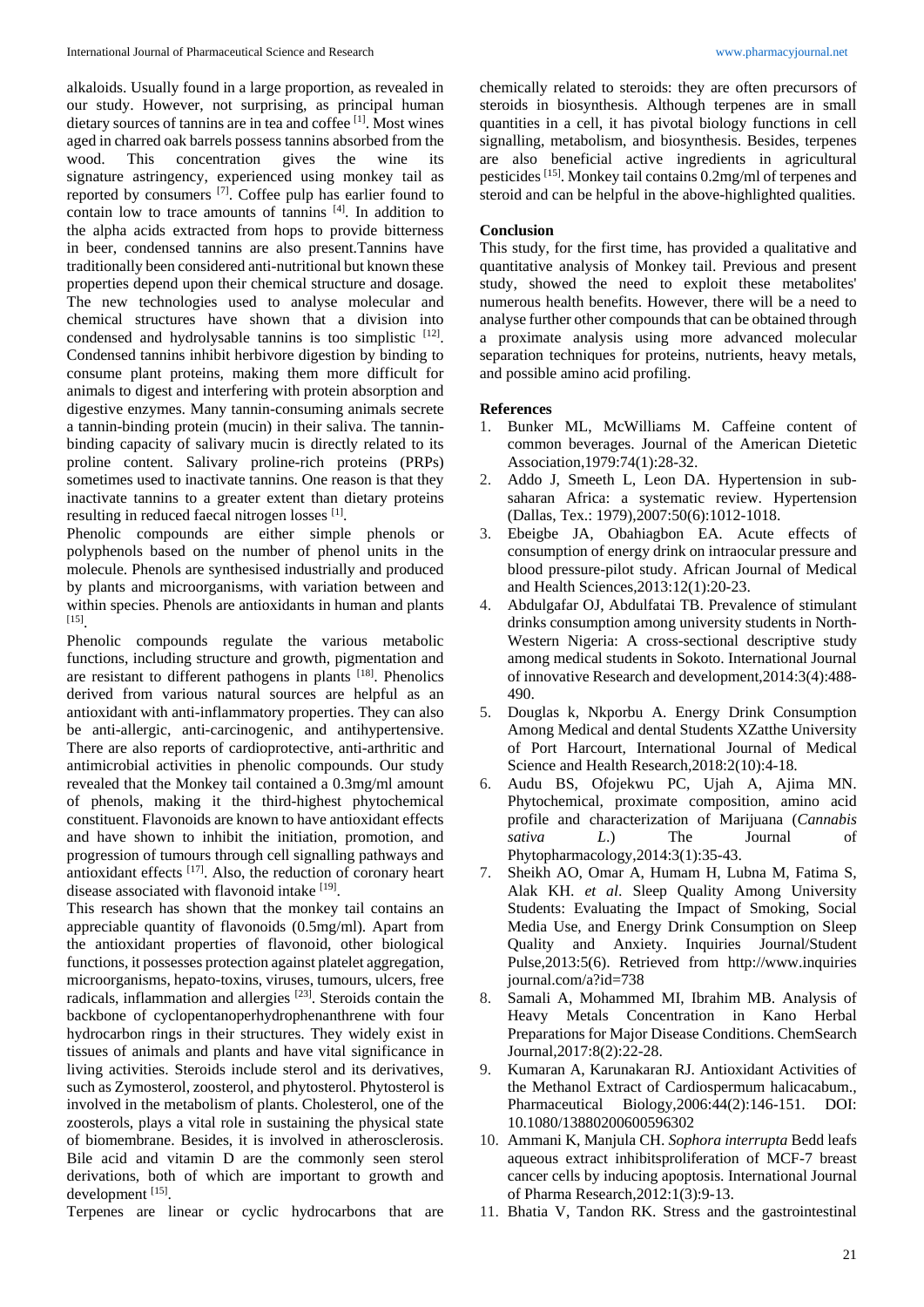alkaloids. Usually found in a large proportion, as revealed in our study. However, not surprising, as principal human dietary sources of tannins are in tea and coffee [1]. Most wines aged in charred oak barrels possess tannins absorbed from the wood. This concentration gives the wine its signature astringency, experienced using monkey tail as reported by consumers <sup>[7]</sup>. Coffee pulp has earlier found to contain low to trace amounts of tannins [4]. In addition to the alpha acids extracted from hops to provide bitterness in beer, condensed tannins are also present.Tannins have traditionally been considered anti-nutritional but known these properties depend upon their chemical structure and dosage. The new technologies used to analyse molecular and chemical structures have shown that a division into condensed and hydrolysable tannins is too simplistic  $[12]$ . Condensed tannins inhibit herbivore digestion by binding to consume plant proteins, making them more difficult for animals to digest and interfering with protein absorption and digestive enzymes. Many tannin-consuming animals secrete a tannin-binding protein (mucin) in their saliva. The tanninbinding capacity of salivary mucin is directly related to its proline content. Salivary proline-rich proteins (PRPs) sometimes used to inactivate tannins. One reason is that they inactivate tannins to a greater extent than dietary proteins resulting in reduced faecal nitrogen losses [1] .

Phenolic compounds are either simple phenols or polyphenols based on the number of phenol units in the molecule. Phenols are synthesised industrially and produced by plants and microorganisms, with variation between and within species. Phenols are antioxidants in human and plants [15] .

Phenolic compounds regulate the various metabolic functions, including structure and growth, pigmentation and are resistant to different pathogens in plants [18]. Phenolics derived from various natural sources are helpful as an antioxidant with anti-inflammatory properties. They can also be anti-allergic, anti-carcinogenic, and antihypertensive. There are also reports of cardioprotective, anti-arthritic and antimicrobial activities in phenolic compounds. Our study revealed that the Monkey tail contained a 0.3mg/ml amount of phenols, making it the third-highest phytochemical constituent. Flavonoids are known to have antioxidant effects and have shown to inhibit the initiation, promotion, and progression of tumours through cell signalling pathways and antioxidant effects [17]. Also, the reduction of coronary heart disease associated with flavonoid intake [19].

This research has shown that the monkey tail contains an appreciable quantity of flavonoids (0.5mg/ml). Apart from the antioxidant properties of flavonoid, other biological functions, it possesses protection against platelet aggregation, microorganisms, hepato-toxins, viruses, tumours, ulcers, free radicals, inflammation and allergies [23]. Steroids contain the backbone of cyclopentanoperhydrophenanthrene with four hydrocarbon rings in their structures. They widely exist in tissues of animals and plants and have vital significance in living activities. Steroids include sterol and its derivatives, such as Zymosterol, zoosterol, and phytosterol. Phytosterol is involved in the metabolism of plants. Cholesterol, one of the zoosterols, plays a vital role in sustaining the physical state of biomembrane. Besides, it is involved in atherosclerosis. Bile acid and vitamin D are the commonly seen sterol derivations, both of which are important to growth and development [15].

chemically related to steroids: they are often precursors of steroids in biosynthesis. Although terpenes are in small quantities in a cell, it has pivotal biology functions in cell signalling, metabolism, and biosynthesis. Besides, terpenes are also beneficial active ingredients in agricultural pesticides [15] . Monkey tail contains 0.2mg/ml of terpenes and steroid and can be helpful in the above-highlighted qualities.

# **Conclusion**

This study, for the first time, has provided a qualitative and quantitative analysis of Monkey tail. Previous and present study, showed the need to exploit these metabolites' numerous health benefits. However, there will be a need to analyse further other compounds that can be obtained through a proximate analysis using more advanced molecular separation techniques for proteins, nutrients, heavy metals, and possible amino acid profiling.

# **References**

- 1. Bunker ML, McWilliams M. Caffeine content of common beverages. Journal of the American Dietetic Association,1979:74(1):28-32.
- 2. Addo J, Smeeth L, Leon DA. Hypertension in subsaharan Africa: a systematic review. Hypertension (Dallas, Tex.: 1979),2007:50(6):1012-1018.
- 3. Ebeigbe JA, Obahiagbon EA. Acute effects of consumption of energy drink on intraocular pressure and blood pressure-pilot study. African Journal of Medical and Health Sciences,2013:12(1):20-23.
- 4. Abdulgafar OJ, Abdulfatai TB. Prevalence of stimulant drinks consumption among university students in North-Western Nigeria: A cross-sectional descriptive study among medical students in Sokoto. International Journal of innovative Research and development,2014:3(4):488- 490.
- 5. Douglas k, Nkporbu A. Energy Drink Consumption Among Medical and dental Students XZatthe University of Port Harcourt, International Journal of Medical Science and Health Research,2018:2(10):4-18.
- 6. Audu BS, Ofojekwu PC, Ujah A, Ajima MN. Phytochemical, proximate composition, amino acid profile and characterization of Marijuana (*Cannabis sativa L*.) The Journal of Phytopharmacology,2014:3(1):35-43.
- 7. Sheikh AO, Omar A, Humam H, Lubna M, Fatima S, Alak KH. *et al*. Sleep Quality Among University Students: Evaluating the Impact of Smoking, Social Media Use, and Energy Drink Consumption on Sleep Quality and Anxiety. Inquiries Journal/Student Pulse,2013:5(6). Retrieved from http://www.inquiries journal.com/a?id=738
- 8. Samali A, Mohammed MI, Ibrahim MB. Analysis of Heavy Metals Concentration in Kano Herbal Preparations for Major Disease Conditions. ChemSearch Journal,2017:8(2):22-28.
- 9. Kumaran A, Karunakaran RJ. Antioxidant Activities of the Methanol Extract of Cardiospermum halicacabum., Pharmaceutical Biology,2006:44(2):146-151. DOI: 10.1080/13880200600596302
- 10. Ammani K, Manjula CH. *Sophora interrupta* Bedd leafs aqueous extract inhibitsproliferation of MCF-7 breast cancer cells by inducing apoptosis. International Journal of Pharma Research,2012:1(3):9-13.
- 11. Bhatia V, Tandon RK. Stress and the gastrointestinal